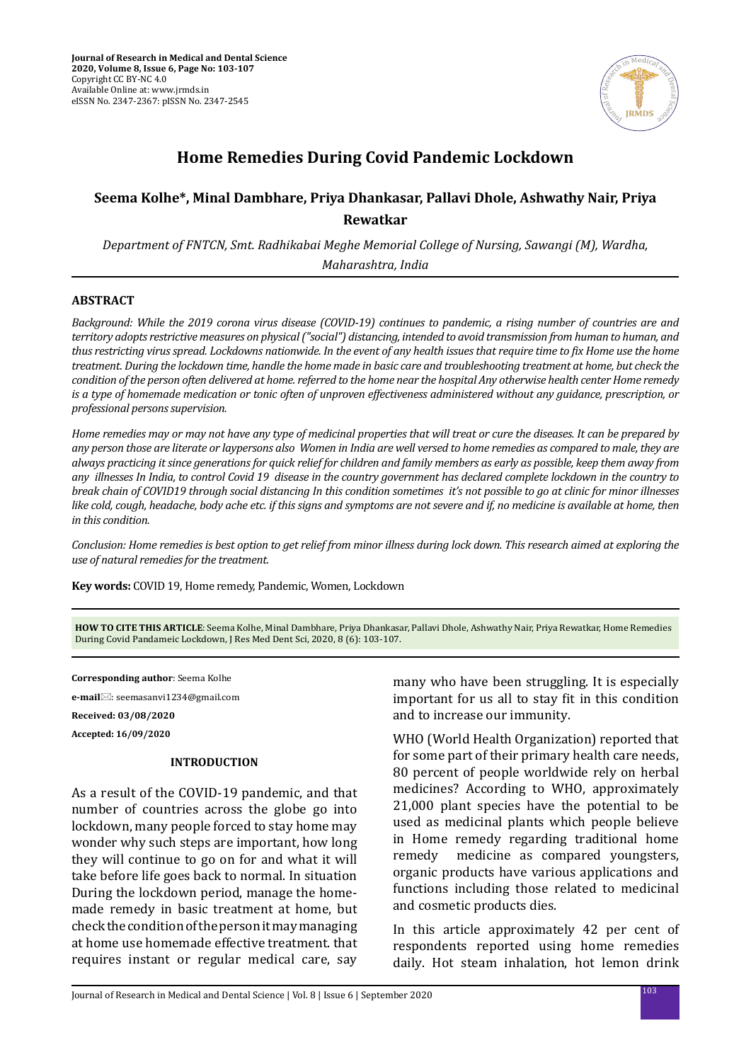

# **Home Remedies During Covid Pandemic Lockdown**

# **Seema Kolhe\*, Minal Dambhare, Priya Dhankasar, Pallavi Dhole, Ashwathy Nair, Priya Rewatkar**

*Department of FNTCN, Smt. Radhikabai Meghe Memorial College of Nursing, Sawangi (M), Wardha, Maharashtra, India*

# **ABSTRACT**

*Background: While the 2019 corona virus disease (COVID-19) continues to pandemic, a rising number of countries are and territory adopts restrictive measures on physical ("social") distancing, intended to avoid transmission from human to human, and thus restricting virus spread. Lockdowns nationwide. In the event of any health issues that require time to fix Home use the home treatment. During the lockdown time, handle the home made in basic care and troubleshooting treatment at home, but check the condition of the person often delivered at home. referred to the home near the hospital Any otherwise health center Home remedy is a type of homemade medication or tonic often of unproven effectiveness administered without any guidance, prescription, or professional persons supervision.* 

*Home remedies may or may not have any type of medicinal properties that will treat or cure the diseases. It can be prepared by any person those are literate or laypersons also Women in India are well versed to home remedies as compared to male, they are always practicing it since generations for quick relief for children and family members as early as possible, keep them away from any illnesses In India, to control Covid 19 disease in the country government has declared complete lockdown in the country to break chain of COVID19 through social distancing In this condition sometimes it's not possible to go at clinic for minor illnesses like cold, cough, headache, body ache etc. if this signs and symptoms are not severe and if, no medicine is available at home, then in this condition.* 

*Conclusion: Home remedies is best option to get relief from minor illness during lock down. This research aimed at exploring the use of natural remedies for the treatment.*

**Key words:** COVID 19, Home remedy, Pandemic, Women, Lockdown

**HOW TO CITE THIS ARTICLE**: Seema Kolhe, Minal Dambhare, Priya Dhankasar, Pallavi Dhole, Ashwathy Nair, Priya Rewatkar, Home Remedies During Covid Pandameic Lockdown, J Res Med Dent Sci, 2020, 8 (6): 103-107.

**Corresponding author**: Seema Kolhe **e-mail**⊠: seemasanvi1234@gmail.com **Received: 03/08/2020 Accepted: 16/09/2020**

### **INTRODUCTION**

As a result of the COVID-19 pandemic, and that number of countries across the globe go into lockdown, many people forced to stay home may wonder why such steps are important, how long they will continue to go on for and what it will take before life goes back to normal. In situation During the lockdown period, manage the homemade remedy in basic treatment at home, but check the condition of the person it may managing at home use homemade effective treatment. that requires instant or regular medical care, say many who have been struggling. It is especially important for us all to stay fit in this condition and to increase our immunity.

WHO (World Health Organization) reported that for some part of their primary health care needs, 80 percent of people worldwide rely on herbal medicines? According to WHO, approximately 21,000 plant species have the potential to be used as medicinal plants which people believe in Home remedy regarding traditional home remedy medicine as compared youngsters, organic products have various applications and functions including those related to medicinal and cosmetic products dies.

In this article approximately 42 per cent of respondents reported using home remedies daily. Hot steam inhalation, hot lemon drink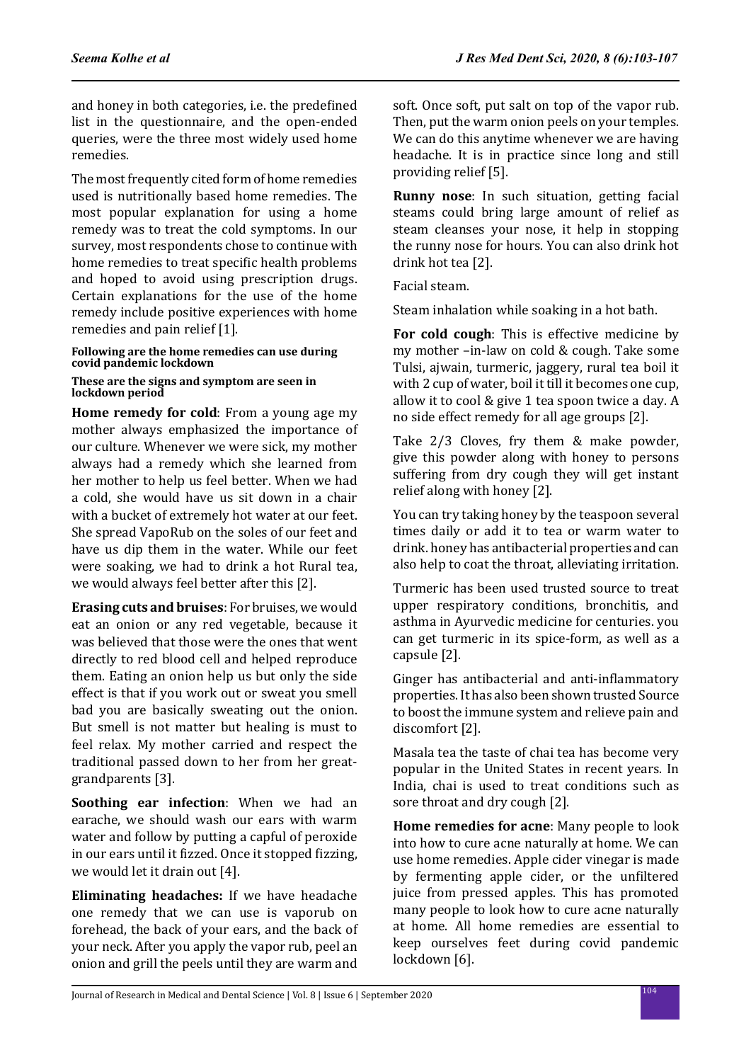and honey in both categories, i.e. the predefined list in the questionnaire, and the open-ended queries, were the three most widely used home remedies.

The most frequently cited form of home remedies used is nutritionally based home remedies. The most popular explanation for using a home remedy was to treat the cold symptoms. In our survey, most respondents chose to continue with home remedies to treat specific health problems and hoped to avoid using prescription drugs. Certain explanations for the use of the home remedy include positive experiences with home remedies and pain relief [1].

# **Following are the home remedies can use during covid pandemic lockdown**

### **These are the signs and symptom are seen in lockdown period**

**Home remedy for cold**: From a young age my mother always emphasized the importance of our culture. Whenever we were sick, my mother always had a remedy which she learned from her mother to help us feel better. When we had a cold, she would have us sit down in a chair with a bucket of extremely hot water at our feet. She spread VapoRub on the soles of our feet and have us dip them in the water. While our feet were soaking, we had to drink a hot Rural tea, we would always feel better after this [2].

**Erasing cuts and bruises**: For bruises, we would eat an onion or any red vegetable, because it was believed that those were the ones that went directly to red blood cell and helped reproduce them. Eating an onion help us but only the side effect is that if you work out or sweat you smell bad you are basically sweating out the onion. But smell is not matter but healing is must to feel relax. My mother carried and respect the traditional passed down to her from her greatgrandparents [3].

**Soothing ear infection**: When we had an earache, we should wash our ears with warm water and follow by putting a capful of peroxide in our ears until it fizzed. Once it stopped fizzing, we would let it drain out [4].

**Eliminating headaches:** If we have headache one remedy that we can use is vaporub on forehead, the back of your ears, and the back of your neck. After you apply the vapor rub, peel an onion and grill the peels until they are warm and soft. Once soft, put salt on top of the vapor rub. Then, put the warm onion peels on your temples. We can do this anytime whenever we are having headache. It is in practice since long and still providing relief [5].

**Runny nose**: In such situation, getting facial steams could bring large amount of relief as steam cleanses your nose, it help in stopping the runny nose for hours. You can also drink hot drink hot tea [2].

Facial steam.

Steam inhalation while soaking in a hot bath.

**For cold cough**: This is effective medicine by my mother –in-law on cold & cough. Take some Tulsi, ajwain, turmeric, jaggery, rural tea boil it with 2 cup of water, boil it till it becomes one cup, allow it to cool & give 1 tea spoon twice a day. A no side effect remedy for all age groups [2].

Take 2/3 Cloves, fry them & make powder, give this powder along with honey to persons suffering from dry cough they will get instant relief along with honey [2].

You can try taking honey by the teaspoon several times daily or add it to tea or warm water to drink. honey has antibacterial properties and can also help to coat the throat, alleviating irritation.

Turmeric has been used trusted source to treat upper respiratory conditions, bronchitis, and asthma in Ayurvedic medicine for centuries. you can get turmeric in its spice-form, as well as a capsule [2].

Ginger has antibacterial and anti-inflammatory properties. It has also been shown trusted Source to boost the immune system and relieve pain and discomfort [2].

Masala tea the taste of chai tea has become very popular in the United States in recent years. In India, chai is used to treat conditions such as sore throat and dry cough [2].

**Home remedies for acne**: Many people to look into how to cure acne naturally at home. We can use home remedies. Apple cider vinegar is made by fermenting apple cider, or the unfiltered juice from pressed apples. This has promoted many people to look how to cure acne naturally at home. All home remedies are essential to keep ourselves feet during covid pandemic lockdown [6].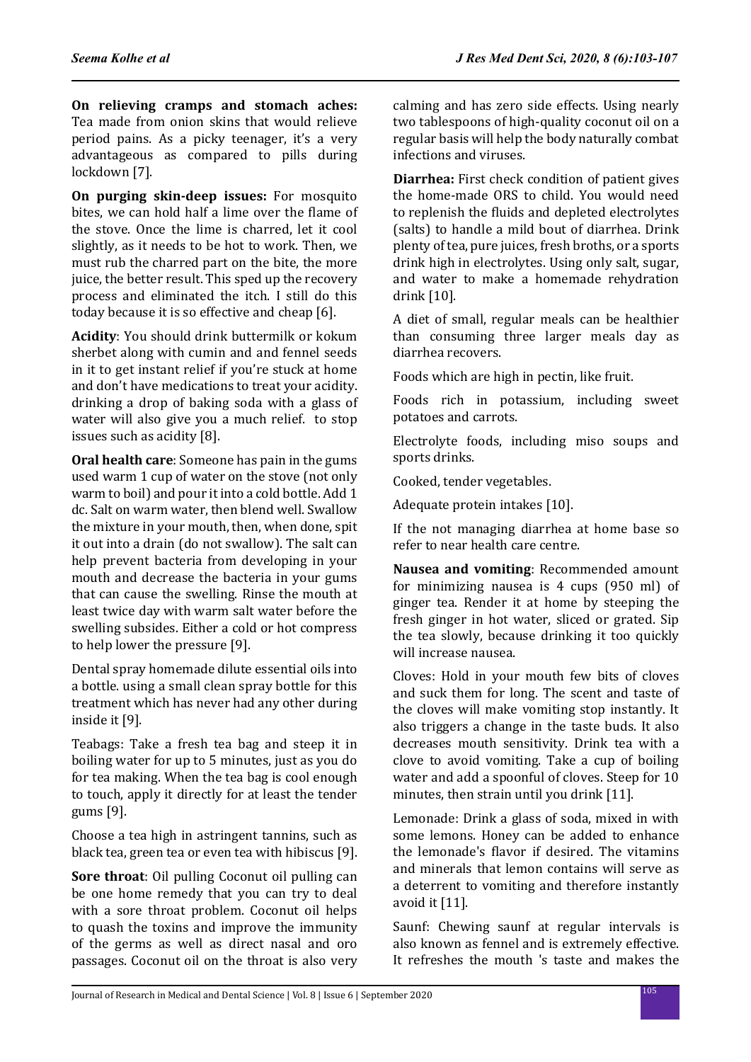**On relieving cramps and stomach aches:**  Tea made from onion skins that would relieve period pains. As a picky teenager, it's a very advantageous as compared to pills during lockdown [7].

**On purging skin-deep issues:** For mosquito bites, we can hold half a lime over the flame of the stove. Once the lime is charred, let it cool slightly, as it needs to be hot to work. Then, we must rub the charred part on the bite, the more juice, the better result. This sped up the recovery process and eliminated the itch. I still do this today because it is so effective and cheap [6].

**Acidity**: You should drink buttermilk or kokum sherbet along with cumin and and fennel seeds in it to get instant relief if you're stuck at home and don't have medications to treat your acidity. drinking a drop of baking soda with a glass of water will also give you a much relief. to stop issues such as acidity [8].

**Oral health care**: Someone has pain in the gums used warm 1 cup of water on the stove (not only warm to boil) and pour it into a cold bottle. Add 1 dc. Salt on warm water, then blend well. Swallow the mixture in your mouth, then, when done, spit it out into a drain (do not swallow). The salt can help prevent bacteria from developing in your mouth and decrease the bacteria in your gums that can cause the swelling. Rinse the mouth at least twice day with warm salt water before the swelling subsides. Either a cold or hot compress to help lower the pressure [9].

Dental spray homemade dilute essential oils into a bottle. using a small clean spray bottle for this treatment which has never had any other during inside it [9].

Teabags: Take a fresh tea bag and steep it in boiling water for up to 5 minutes, just as you do for tea making. When the tea bag is cool enough to touch, apply it directly for at least the tender gums [9].

Choose a tea high in astringent tannins, such as black tea, green tea or even tea with hibiscus [9].

**Sore throat**: Oil pulling Coconut oil pulling can be one home remedy that you can try to deal with a sore throat problem. Coconut oil helps to quash the toxins and improve the immunity of the germs as well as direct nasal and oro passages. Coconut oil on the throat is also very calming and has zero side effects. Using nearly two tablespoons of high-quality coconut oil on a regular basis will help the body naturally combat infections and viruses.

**Diarrhea:** First check condition of patient gives the home-made ORS to child. You would need to replenish the fluids and depleted electrolytes (salts) to handle a mild bout of diarrhea. Drink plenty of tea, pure juices, fresh broths, or a sports drink high in electrolytes. Using only salt, sugar, and water to make a homemade rehydration drink [10].

A diet of small, regular meals can be healthier than consuming three larger meals day as diarrhea recovers.

Foods which are high in pectin, like fruit.

Foods rich in potassium, including sweet potatoes and carrots.

Electrolyte foods, including miso soups and sports drinks.

Cooked, tender vegetables.

Adequate protein intakes [10].

If the not managing diarrhea at home base so refer to near health care centre.

**Nausea and vomiting**: Recommended amount for minimizing nausea is 4 cups (950 ml) of ginger tea. Render it at home by steeping the fresh ginger in hot water, sliced or grated. Sip the tea slowly, because drinking it too quickly will increase nausea.

Cloves: Hold in your mouth few bits of cloves and suck them for long. The scent and taste of the cloves will make vomiting stop instantly. It also triggers a change in the taste buds. It also decreases mouth sensitivity. Drink tea with a clove to avoid vomiting. Take a cup of boiling water and add a spoonful of cloves. Steep for 10 minutes, then strain until you drink [11].

Lemonade: Drink a glass of soda, mixed in with some lemons. Honey can be added to enhance the lemonade's flavor if desired. The vitamins and minerals that lemon contains will serve as a deterrent to vomiting and therefore instantly avoid it [11].

Saunf: Chewing saunf at regular intervals is also known as fennel and is extremely effective. It refreshes the mouth 's taste and makes the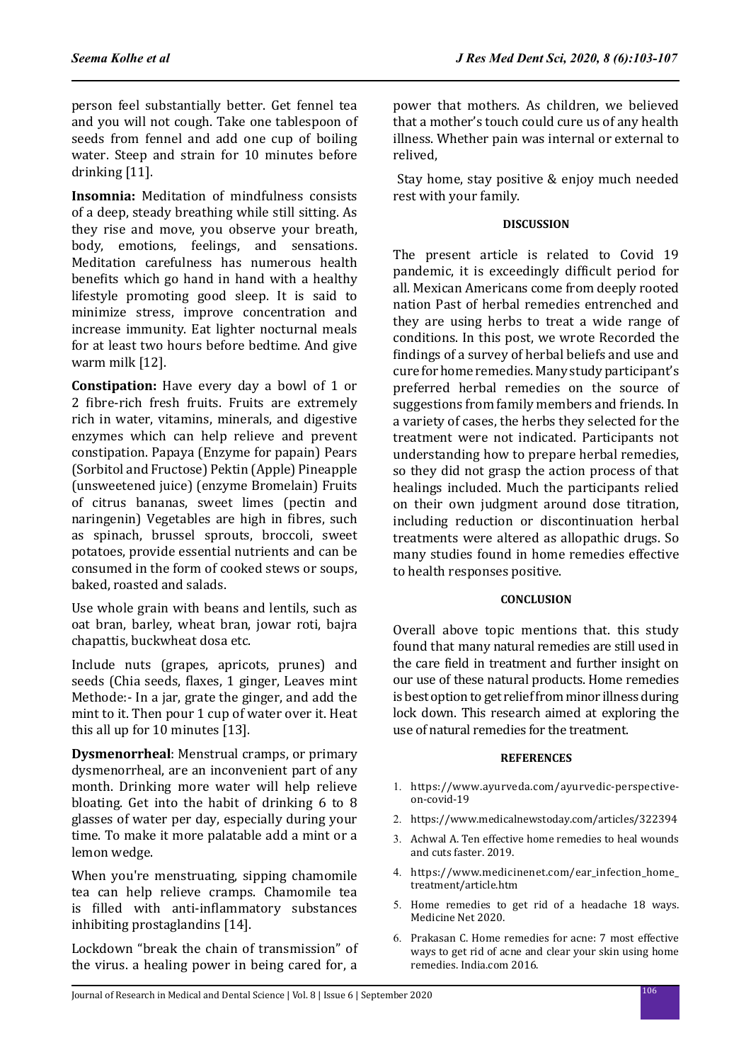person feel substantially better. Get fennel tea and you will not cough. Take one tablespoon of seeds from fennel and add one cup of boiling water. Steep and strain for 10 minutes before drinking [11].

**Insomnia:** Meditation of mindfulness consists of a deep, steady breathing while still sitting. As they rise and move, you observe your breath, body, emotions, feelings, and sensations. Meditation carefulness has numerous health benefits which go hand in hand with a healthy lifestyle promoting good sleep. It is said to minimize stress, improve concentration and increase immunity. Eat lighter nocturnal meals for at least two hours before bedtime. And give warm milk [12].

**Constipation:** Have every day a bowl of 1 or 2 fibre-rich fresh fruits. Fruits are extremely rich in water, vitamins, minerals, and digestive enzymes which can help relieve and prevent constipation. Papaya (Enzyme for papain) Pears (Sorbitol and Fructose) Pektin (Apple) Pineapple (unsweetened juice) (enzyme Bromelain) Fruits of citrus bananas, sweet limes (pectin and naringenin) Vegetables are high in fibres, such as spinach, brussel sprouts, broccoli, sweet potatoes, provide essential nutrients and can be consumed in the form of cooked stews or soups, baked, roasted and salads.

Use whole grain with beans and lentils, such as oat bran, barley, wheat bran, jowar roti, bajra chapattis, buckwheat dosa etc.

Include nuts (grapes, apricots, prunes) and seeds (Chia seeds, flaxes, 1 ginger, Leaves mint Methode:- In a jar, grate the ginger, and add the mint to it. Then pour 1 cup of water over it. Heat this all up for 10 minutes [13].

**Dysmenorrheal**: Menstrual cramps, or primary dysmenorrheal, are an inconvenient part of any month. Drinking more water will help relieve bloating. Get into the habit of drinking 6 to 8 glasses of water per day, especially during your time. To make it more palatable add a mint or a lemon wedge.

When you're menstruating, sipping chamomile tea can help relieve cramps. Chamomile tea is filled with anti-inflammatory substances inhibiting prostaglandins [14].

Lockdown "break the chain of transmission" of the virus. a healing power in being cared for, a power that mothers. As children, we believed that a mother's touch could cure us of any health illness. Whether pain was internal or external to relived,

 Stay home, stay positive & enjoy much needed rest with your family.

# **DISCUSSION**

The present article is related to Covid 19 pandemic, it is exceedingly difficult period for all. Mexican Americans come from deeply rooted nation Past of herbal remedies entrenched and they are using herbs to treat a wide range of conditions. In this post, we wrote Recorded the findings of a survey of herbal beliefs and use and cure for home remedies. Many study participant's preferred herbal remedies on the source of suggestions from family members and friends. In a variety of cases, the herbs they selected for the treatment were not indicated. Participants not understanding how to prepare herbal remedies, so they did not grasp the action process of that healings included. Much the participants relied on their own judgment around dose titration, including reduction or discontinuation herbal treatments were altered as allopathic drugs. So many studies found in home remedies effective to health responses positive.

### **CONCLUSION**

Overall above topic mentions that. this study found that many natural remedies are still used in the care field in treatment and further insight on our use of these natural products. Home remedies is best option to get relief from minor illness during lock down. This research aimed at exploring the use of natural remedies for the treatment.

### **REFERENCES**

- 1. https://www.ayurveda.com/ayurvedic-perspectiveon-covid-19
- 2. https://www.medicalnewstoday.com/articles/322394
- 3. Achwal A. Ten effective home remedies to heal wounds and cuts faster. 2019.
- 4. https://www.medicinenet.com/ear\_infection\_home\_ treatment/article.htm
- 5. Home remedies to get rid of a headache 18 ways. Medicine Net 2020.
- 6. Prakasan C. Home remedies for acne: 7 most effective ways to get rid of acne and clear your skin using home remedies. India.com 2016.